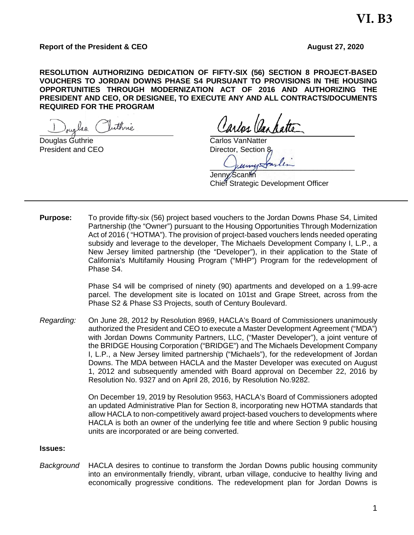# **Report of the President & CEO August 27, 2020**

**RESOLUTION AUTHORIZING DEDICATION OF FIFTY-SIX (56) SECTION 8 PROJECT-BASED VOUCHERS TO JORDAN DOWNS PHASE S4 PURSUANT TO PROVISIONS IN THE HOUSING OPPORTUNITIES THROUGH MODERNIZATION ACT OF 2016 AND AUTHORIZING THE PRESIDENT AND CEO, OR DESIGNEE, TO EXECUTE ANY AND ALL CONTRACTS/DOCUMENTS REQUIRED FOR THE PROGRAM**

ouglas

Douglas Guthrie Carlos VanNatter President and CEO Director, Section 8

Jenny Starten

Jenny/Scanlin Chief Strategic Development Officer

**Purpose:** To provide fifty-six (56) project based vouchers to the Jordan Downs Phase S4, Limited Partnership (the "Owner") pursuant to the Housing Opportunities Through Modernization Act of 2016 ( "HOTMA"). The provision of project-based vouchers lends needed operating subsidy and leverage to the developer, The Michaels Development Company I, L.P., a New Jersey limited partnership (the "Developer"), in their application to the State of California's Multifamily Housing Program ("MHP") Program for the redevelopment of Phase S4.

> Phase S4 will be comprised of ninety (90) apartments and developed on a 1.99-acre parcel. The development site is located on 101st and Grape Street, across from the Phase S2 & Phase S3 Projects, south of Century Boulevard.

*Regarding:* On June 28, 2012 by Resolution 8969, HACLA's Board of Commissioners unanimously authorized the President and CEO to execute a Master Development Agreement ("MDA") with Jordan Downs Community Partners, LLC, ("Master Developer"), a joint venture of the BRIDGE Housing Corporation ("BRIDGE") and The Michaels Development Company I, L.P., a New Jersey limited partnership ("Michaels"), for the redevelopment of Jordan Downs. The MDA between HACLA and the Master Developer was executed on August 1, 2012 and subsequently amended with Board approval on December 22, 2016 by Resolution No. 9327 and on April 28, 2016, by Resolution No.9282.

> On December 19, 2019 by Resolution 9563, HACLA's Board of Commissioners adopted an updated Administrative Plan for Section 8, incorporating new HOTMA standards that allow HACLA to non-competitively award project-based vouchers to developments where HACLA is both an owner of the underlying fee title and where Section 9 public housing units are incorporated or are being converted.

#### **Issues:**

*Background* HACLA desires to continue to transform the Jordan Downs public housing community into an environmentally friendly, vibrant, urban village, conducive to healthy living and economically progressive conditions. The redevelopment plan for Jordan Downs is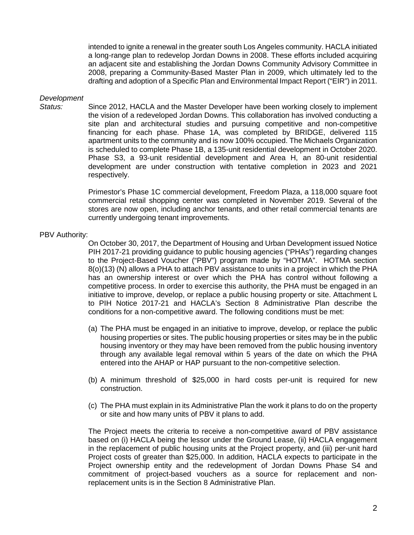intended to ignite a renewal in the greater south Los Angeles community. HACLA initiated a long-range plan to redevelop Jordan Downs in 2008. These efforts included acquiring an adjacent site and establishing the Jordan Downs Community Advisory Committee in 2008, preparing a Community-Based Master Plan in 2009, which ultimately led to the drafting and adoption of a Specific Plan and Environmental Impact Report ("EIR") in 2011.

#### *Development*

*Status:* Since 2012, HACLA and the Master Developer have been working closely to implement the vision of a redeveloped Jordan Downs. This collaboration has involved conducting a site plan and architectural studies and pursuing competitive and non-competitive financing for each phase. Phase 1A, was completed by BRIDGE, delivered 115 apartment units to the community and is now 100% occupied. The Michaels Organization is scheduled to complete Phase 1B, a 135-unit residential development in October 2020. Phase S3, a 93-unit residential development and Area H, an 80-unit residential development are under construction with tentative completion in 2023 and 2021 respectively.

> Primestor's Phase 1C commercial development, Freedom Plaza, a 118,000 square foot commercial retail shopping center was completed in November 2019. Several of the stores are now open, including anchor tenants, and other retail commercial tenants are currently undergoing tenant improvements.

#### PBV Authority:

On October 30, 2017, the Department of Housing and Urban Development issued Notice PIH 2017-21 providing guidance to public housing agencies ("PHAs") regarding changes to the Project-Based Voucher ("PBV") program made by "HOTMA". HOTMA section 8(o)(13) (N) allows a PHA to attach PBV assistance to units in a project in which the PHA has an ownership interest or over which the PHA has control without following a competitive process. In order to exercise this authority, the PHA must be engaged in an initiative to improve, develop, or replace a public housing property or site. Attachment L to PIH Notice 2017-21 and HACLA's Section 8 Administrative Plan describe the conditions for a non-competitive award. The following conditions must be met:

- (a) The PHA must be engaged in an initiative to improve, develop, or replace the public housing properties or sites. The public housing properties or sites may be in the public housing inventory or they may have been removed from the public housing inventory through any available legal removal within 5 years of the date on which the PHA entered into the AHAP or HAP pursuant to the non-competitive selection.
- (b) A minimum threshold of \$25,000 in hard costs per-unit is required for new construction.
- (c) The PHA must explain in its Administrative Plan the work it plans to do on the property or site and how many units of PBV it plans to add.

The Project meets the criteria to receive a non-competitive award of PBV assistance based on (i) HACLA being the lessor under the Ground Lease, (ii) HACLA engagement in the replacement of public housing units at the Project property, and (iii) per-unit hard Project costs of greater than \$25,000. In addition, HACLA expects to participate in the Project ownership entity and the redevelopment of Jordan Downs Phase S4 and commitment of project-based vouchers as a source for replacement and nonreplacement units is in the Section 8 Administrative Plan.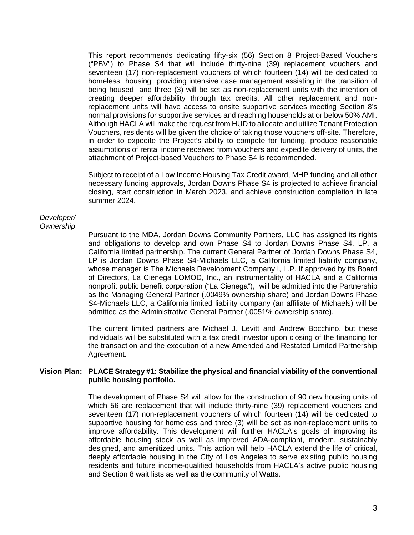This report recommends dedicating fifty-six (56) Section 8 Project-Based Vouchers ("PBV") to Phase S4 that will include thirty-nine (39) replacement vouchers and seventeen (17) non-replacement vouchers of which fourteen (14) will be dedicated to homeless housing providing intensive case management assisting in the transition of being housed and three (3) will be set as non-replacement units with the intention of creating deeper affordability through tax credits. All other replacement and nonreplacement units will have access to onsite supportive services meeting Section 8's normal provisions for supportive services and reaching households at or below 50% AMI. Although HACLA will make the request from HUD to allocate and utilize Tenant Protection Vouchers, residents will be given the choice of taking those vouchers off-site. Therefore, in order to expedite the Project's ability to compete for funding, produce reasonable assumptions of rental income received from vouchers and expedite delivery of units, the attachment of Project-based Vouchers to Phase S4 is recommended.

Subject to receipt of a Low Income Housing Tax Credit award, MHP funding and all other necessary funding approvals, Jordan Downs Phase S4 is projected to achieve financial closing, start construction in March 2023, and achieve construction completion in late summer 2024.

## *Developer/ Ownership*

Pursuant to the MDA, Jordan Downs Community Partners, LLC has assigned its rights and obligations to develop and own Phase S4 to Jordan Downs Phase S4, LP, a California limited partnership. The current General Partner of Jordan Downs Phase S4, LP is Jordan Downs Phase S4-Michaels LLC, a California limited liability company, whose manager is The Michaels Development Company I, L.P. If approved by its Board of Directors, La Cienega LOMOD, Inc., an instrumentality of HACLA and a California nonprofit public benefit corporation ("La Cienega"), will be admitted into the Partnership as the Managing General Partner (.0049% ownership share) and Jordan Downs Phase S4-Michaels LLC, a California limited liability company (an affiliate of Michaels) will be admitted as the Administrative General Partner (.0051% ownership share).

The current limited partners are Michael J. Levitt and Andrew Bocchino, but these individuals will be substituted with a tax credit investor upon closing of the financing for the transaction and the execution of a new Amended and Restated Limited Partnership Agreement.

## **Vision Plan: PLACE Strategy #1: Stabilize the physical and financial viability of the conventional public housing portfolio.**

The development of Phase S4 will allow for the construction of 90 new housing units of which 56 are replacement that will include thirty-nine (39) replacement vouchers and seventeen (17) non-replacement vouchers of which fourteen (14) will be dedicated to supportive housing for homeless and three (3) will be set as non-replacement units to improve affordability. This development will further HACLA's goals of improving its affordable housing stock as well as improved ADA-compliant, modern, sustainably designed, and amenitized units. This action will help HACLA extend the life of critical, deeply affordable housing in the City of Los Angeles to serve existing public housing residents and future income-qualified households from HACLA's active public housing and Section 8 wait lists as well as the community of Watts.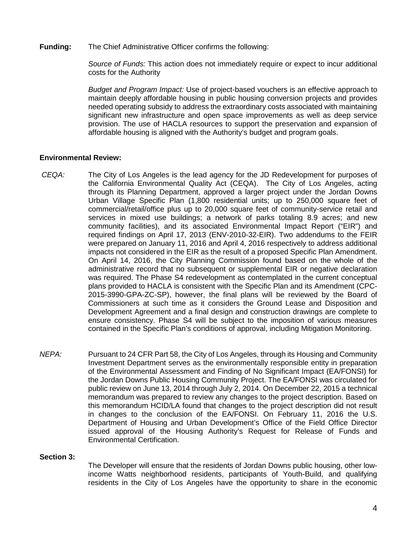**Funding:** The Chief Administrative Officer confirms the following:

*Source of Funds:* This action does not immediately require or expect to incur additional costs for the Authority

*Budget and Program Impact:* Use of project-based vouchers is an effective approach to maintain deeply affordable housing in public housing conversion projects and provides needed operating subsidy to address the extraordinary costs associated with maintaining significant new infrastructure and open space improvements as well as deep service provision. The use of HACLA resources to support the preservation and expansion of affordable housing is aligned with the Authority's budget and program goals.

### **Environmental Review:**

- *CEQA:* The City of Los Angeles is the lead agency for the JD Redevelopment for purposes of the California Environmental Quality Act (CEQA). The City of Los Angeles, acting through its Planning Department, approved a larger project under the Jordan Downs Urban Village Specific Plan (1,800 residential units; up to 250,000 square feet of commercial/retail/office plus up to 20,000 square feet of community-service retail and services in mixed use buildings; a network of parks totaling 8.9 acres; and new community facilities), and its associated Environmental Impact Report ("EIR") and required findings on April 17, 2013 (ENV-2010-32-EIR). Two addendums to the FEIR were prepared on January 11, 2016 and April 4, 2016 respectively to address additional impacts not considered in the EIR as the result of a proposed Specific Plan Amendment. On April 14, 2016, the City Planning Commission found based on the whole of the administrative record that no subsequent or supplemental EIR or negative declaration was required. The Phase S4 redevelopment as contemplated in the current conceptual plans provided to HACLA is consistent with the Specific Plan and its Amendment (CPC-2015-3990-GPA-ZC-SP), however, the final plans will be reviewed by the Board of Commissioners at such time as it considers the Ground Lease and Disposition and Development Agreement and a final design and construction drawings are complete to ensure consistency. Phase S4 will be subject to the imposition of various measures contained in the Specific Plan's conditions of approval, including Mitigation Monitoring.
- *NEPA:* Pursuant to 24 CFR Part 58, the City of Los Angeles, through its Housing and Community Investment Department serves as the environmentally responsible entity in preparation of the Environmental Assessment and Finding of No Significant Impact (EA/FONSI) for the Jordan Downs Public Housing Community Project. The EA/FONSI was circulated for public review on June 13, 2014 through July 2, 2014. On December 22, 2015 a technical memorandum was prepared to review any changes to the project description. Based on this memorandum HCID/LA found that changes to the project description did not result in changes to the conclusion of the EA/FONSI. On February 11, 2016 the U.S. Department of Housing and Urban Development's Office of the Field Office Director issued approval of the Housing Authority's Request for Release of Funds and Environmental Certification.

### **Section 3:**

The Developer will ensure that the residents of Jordan Downs public housing, other lowincome Watts neighborhood residents, participants of Youth-Build, and qualifying residents in the City of Los Angeles have the opportunity to share in the economic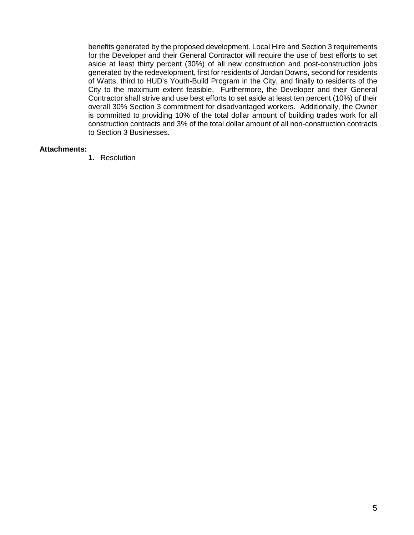benefits generated by the proposed development. Local Hire and Section 3 requirements for the Developer and their General Contractor will require the use of best efforts to set aside at least thirty percent (30%) of all new construction and post-construction jobs generated by the redevelopment, first for residents of Jordan Downs, second for residents of Watts, third to HUD's Youth-Build Program in the City, and finally to residents of the City to the maximum extent feasible. Furthermore, the Developer and their General Contractor shall strive and use best efforts to set aside at least ten percent (10%) of their overall 30% Section 3 commitment for disadvantaged workers. Additionally, the Owner is committed to providing 10% of the total dollar amount of building trades work for all construction contracts and 3% of the total dollar amount of all non-construction contracts to Section 3 Businesses.

#### **Attachments:**

**1.** Resolution